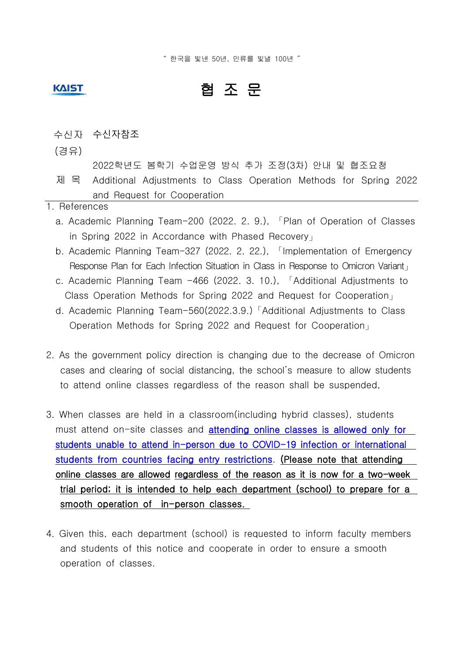" 한국을 빛낸 50년, 인류를 빛낼 100년 "

## **KAIST**

## 협 조 문

- 수신자 수신자참조
- (경유)
	- 2022학년도 봄학기 수업운영 방식 추가 조정(3차) 안내 및 협조요청
- 제 목 Additional Adjustments to Class Operation Methods for Spring 2022 and Request for Cooperation
- 1. References
	- a. Academic Planning Team-200 (2022. 2. 9.), 「Plan of Operation of Classes in Spring 2022 in Accordance with Phased Recovery」
	- b. Academic Planning Team-327 (2022. 2. 22.), 「Implementation of Emergency Response Plan for Each Infection Situation in Class in Response to Omicron Variant
	- c. Academic Planning Team -466 (2022. 3. 10.), 「Additional Adjustments to Class Operation Methods for Spring 2022 and Request for Cooperation」
	- d. Academic Planning Team-560(2022.3.9.)「Additional Adjustments to Class Operation Methods for Spring 2022 and Request for Cooperation」
- 2. As the government policy direction is changing due to the decrease of Omicron cases and clearing of social distancing, the school's measure to allow students to attend online classes regardless of the reason shall be suspended,
- 3. When classes are held in a classroom(including hybrid classes), students must attend on-site classes and **attending online classes is allowed only for** students unable to attend in-person due to COVID-19 infection or international students from countries facing entry restrictions. (Please note that attending online classes are allowed regardless of the reason as it is now for a two-week trial period; it is intended to help each department (school) to prepare for a smooth operation of in-person classes.
- 4. Given this, each department (school) is requested to inform faculty members and students of this notice and cooperate in order to ensure a smooth operation of classes.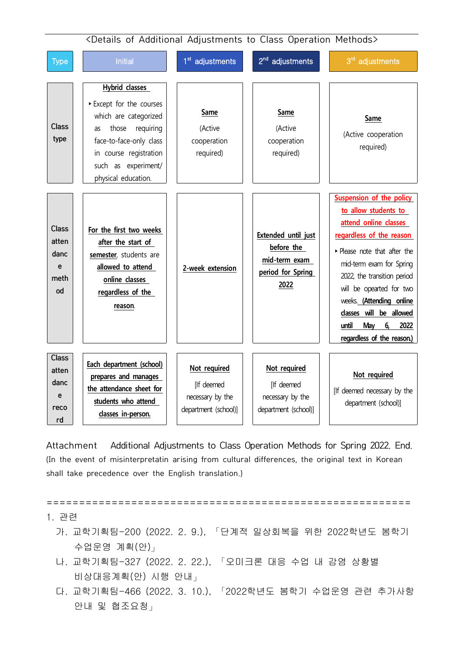

Attachment Additional Adjustments to Class Operation Methods for Spring 2022. End. (In the event of misinterpretatin arising from cultural differences, the original text in Korean shall take precedence over the English translation.)

======================================================== 1. 관련 가. 교학기획팀-200 (2022. 2. 9.), 「단계적 일상회복을 위한 2022학년도 봄학기 수업운영 계획(안)」 나. 교학기획팀-327 (2022. 2. 22.), 「오미크론 대응 수업 내 감염 상황별

- 비상대응계획(안) 시행 안내」 다. 교학기획팀-466 (2022. 3. 10.), 「2022학년도 봄학기 수업운영 관련 추가사항
	- 안내 및 협조요청」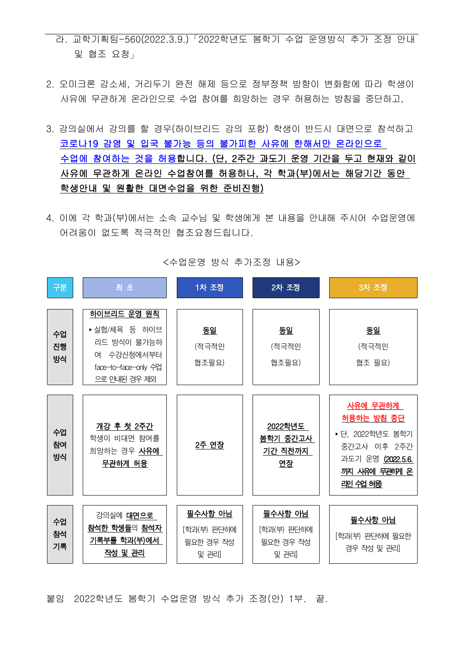- 라. 교학기획팀-560(2022.3.9.)「2022학년도 봄학기 수업 운영방식 추가 조정 안내 및 협조 요청」
- 2. 오미크론 감소세, 거리두기 완전 해제 등으로 정부정책 방향이 변화함에 따라 학생이 사유에 무관하게 온라인으로 수업 참여를 희망하는 경우 허용하는 방침을 중단하고,
- 3. 강의실에서 강의를 할 경우(하이브리드 강의 포함) 학생이 반드시 대면으로 참석하고 코로나19 감염 및 입국 불가능 등의 불가피한 사유에 한해서만 온라인으로 수업에 참여하는 것을 허용합니다. (단, 2주간 과도기 운영 기간을 두고 현재와 같이 사유에 무관하게 온라인 수업참여를 허용하나, 각 학과(부)에서는 해당기간 동안 학생안내 및 원활한 대면수업을 위한 준비진행)
- 4. 이에 각 학과(부)에서는 소속 교수님 및 학생에게 본 내용을 안내해 주시어 수업운영에 어려움이 없도록 적극적인 협조요청드립니다.



<수업운영 방식 추가조정 내용>

붙임 2022학년도 봄학기 수업운영 방식 추가 조정(안) 1부. 끝.